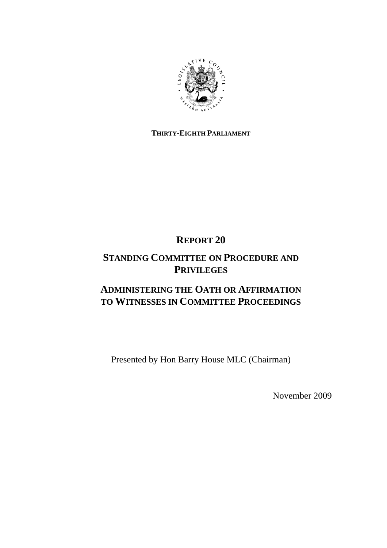

### **THIRTY-EIGHTH PARLIAMENT**

# **REPORT 20**

## **STANDING COMMITTEE ON PROCEDURE AND PRIVILEGES**

# **ADMINISTERING THE OATH OR AFFIRMATION TO WITNESSES IN COMMITTEE PROCEEDINGS**

Presented by Hon Barry House MLC (Chairman)

November 2009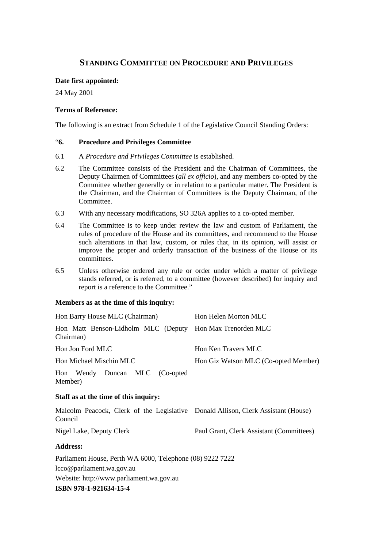### **STANDING COMMITTEE ON PROCEDURE AND PRIVILEGES**

#### **Date first appointed:**

24 May 2001

### **Terms of Reference:**

The following is an extract from Schedule 1 of the Legislative Council Standing Orders:

### "**6. Procedure and Privileges Committee**

- 6.1 A *Procedure and Privileges Committee* is established.
- 6.2 The Committee consists of the President and the Chairman of Committees, the Deputy Chairmen of Committees (*all ex officio*), and any members co-opted by the Committee whether generally or in relation to a particular matter. The President is the Chairman, and the Chairman of Committees is the Deputy Chairman, of the Committee.
- 6.3 With any necessary modifications, SO 326A applies to a co-opted member.
- 6.4 The Committee is to keep under review the law and custom of Parliament, the rules of procedure of the House and its committees, and recommend to the House such alterations in that law, custom, or rules that, in its opinion, will assist or improve the proper and orderly transaction of the business of the House or its committees.
- 6.5 Unless otherwise ordered any rule or order under which a matter of privilege stands referred, or is referred, to a committee (however described) for inquiry and report is a reference to the Committee."

#### **Members as at the time of this inquiry:**

| Hon Barry House MLC (Chairman)                                                               | Hon Helen Morton MLC                     |
|----------------------------------------------------------------------------------------------|------------------------------------------|
| Hon Matt Benson-Lidholm MLC (Deputy Hon Max Trenorden MLC<br>Chairman)                       |                                          |
| Hon Jon Ford MLC                                                                             | Hon Ken Travers MLC                      |
| Hon Michael Mischin MLC                                                                      | Hon Giz Watson MLC (Co-opted Member)     |
| Hon Wendy Duncan MLC (Co-opted<br>Member)                                                    |                                          |
| Staff as at the time of this inquiry:                                                        |                                          |
| Malcolm Peacock, Clerk of the Legislative Donald Allison, Clerk Assistant (House)<br>Council |                                          |
| Nigel Lake, Deputy Clerk                                                                     | Paul Grant, Clerk Assistant (Committees) |
| <b>Address:</b>                                                                              |                                          |
| Parliament House, Perth WA 6000, Telephone (08) 9222 7222                                    |                                          |
| lcco@parliament.wa.gov.au                                                                    |                                          |
| Website: http://www.parliament.wa.gov.au                                                     |                                          |

**ISBN 978-1-921634-15-4**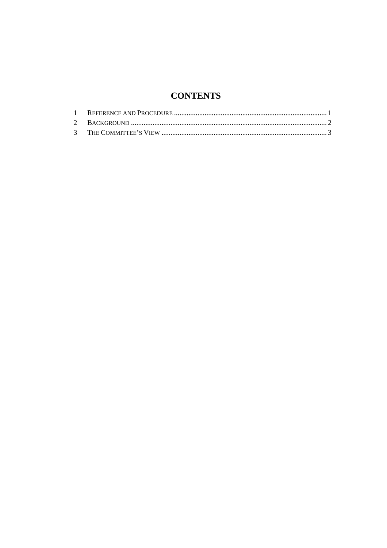## **CONTENTS**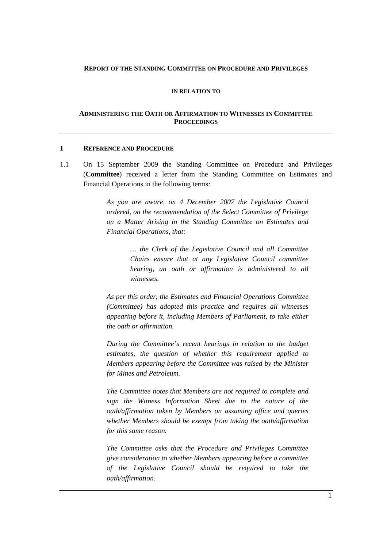#### **REPORT OF THE STANDING COMMITTEE ON PROCEDURE AND PRIVILEGES**

#### **IN RELATION TO**

#### **ADMINISTERING THE OATH OR AFFIRMATION TO WITNESSES IN COMMITTEE PROCEEDINGS**

#### **1 REFERENCE AND PROCEDURE**

1.1 On 15 September 2009 the Standing Committee on Procedure and Privileges (**Committee**) received a letter from the Standing Committee on Estimates and Financial Operations in the following terms:

> *As you are aware, on 4 December 2007 the Legislative Council ordered, on the recommendation of the Select Committee of Privilege on a Matter Arising in the Standing Committee on Estimates and Financial Operations, that:*

> > *… the Clerk of the Legislative Council and all Committee Chairs ensure that at any Legislative Council committee hearing, an oath or affirmation is administered to all witnesses.*

*As per this order, the Estimates and Financial Operations Committee (Committee) has adopted this practice and requires all witnesses appearing before it, including Members of Parliament, to take either the oath or affirmation.* 

*During the Committee's recent hearings in relation to the budget estimates, the question of whether this requirement applied to Members appearing before the Committee was raised by the Minister for Mines and Petroleum.* 

*The Committee notes that Members are not required to complete and sign the Witness Information Sheet due to the nature of the oath/affirmation taken by Members on assuming office and queries whether Members should be exempt from taking the oath/affirmation for this same reason.* 

*The Committee asks that the Procedure and Privileges Committee give consideration to whether Members appearing before a committee of the Legislative Council should be required to take the oath/affirmation.*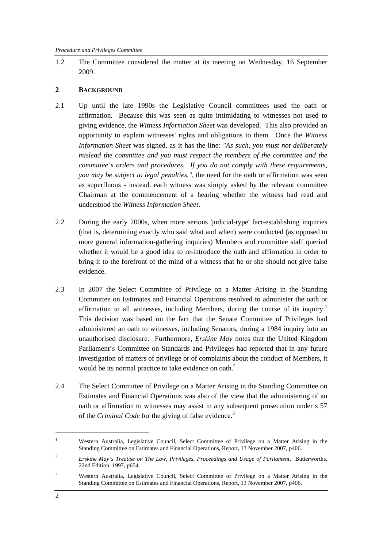1.2 The Committee considered the matter at its meeting on Wednesday, 16 September 2009.

#### **2 BACKGROUND**

- 2.1 Up until the late 1990s the Legislative Council committees used the oath or affirmation. Because this was seen as quite intimidating to witnesses not used to giving evidence, the *Witness Information Sheet* was developed. This also provided an opportunity to explain witnesses' rights and obligations to them. Once the *Witness Information Sheet* was signed, as it has the line: *"As such, you must not deliberately mislead the committee and you must respect the members of the committee and the committee's orders and procedures. If you do not comply with these requirements, you may be subject to legal penalties."*, the need for the oath or affirmation was seen as superfluous - instead, each witness was simply asked by the relevant committee Chairman at the commencement of a hearing whether the witness had read and understood the *Witness Information Sheet*.
- 2.2 During the early 2000s, when more serious 'judicial-type' fact-establishing inquiries (that is, determining exactly who said what and when) were conducted (as opposed to more general information-gathering inquiries) Members and committee staff queried whether it would be a good idea to re-introduce the oath and affirmation in order to bring it to the forefront of the mind of a witness that he or she should not give false evidence.
- 2.3 In 2007 the Select Committee of Privilege on a Matter Arising in the Standing Committee on Estimates and Financial Operations resolved to administer the oath or affirmation to all witnesses, including Members, during the course of its inquiry.<sup>1</sup> This decision was based on the fact that the Senate Committee of Privileges had administered an oath to witnesses, including Senators, during a 1984 inquiry into an unauthorised disclosure. Furthermore, *Erskine May* notes that the United Kingdom Parliament's Committee on Standards and Privileges had reported that in any future investigation of matters of privilege or of complaints about the conduct of Members, it would be its normal practice to take evidence on oath.<sup>2</sup>
- 2.4 The Select Committee of Privilege on a Matter Arising in the Standing Committee on Estimates and Financial Operations was also of the view that the administering of an oath or affirmation to witnesses may assist in any subsequent prosecution under s 57 of the *Criminal Code* for the giving of false evidence.<sup>3</sup>

<sup>1</sup> Western Australia, Legislative Council, Select Committee of Privilege on a Matter Arising in the Standing Committee on Estimates and Financial Operations, Report, 13 November 2007, p406.

<sup>2</sup> *Erskine May's Treatise on The Law, Privileges, Proceedings and Usage of Parliament*, Butterworths, 22nd Edition, 1997, p654.

<sup>3</sup> Western Australia, Legislative Council, Select Committee of Privilege on a Matter Arising in the Standing Committee on Estimates and Financial Operations, Report, 13 November 2007, p406.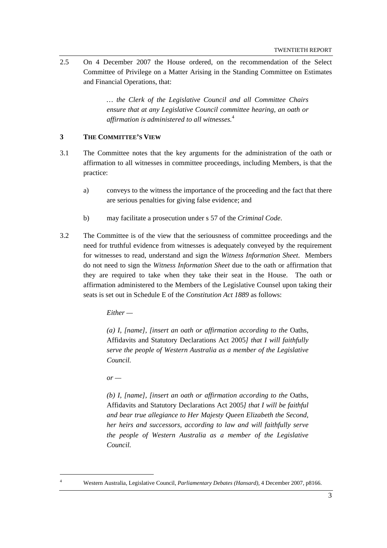2.5 On 4 December 2007 the House ordered, on the recommendation of the Select Committee of Privilege on a Matter Arising in the Standing Committee on Estimates and Financial Operations, that:

> *… the Clerk of the Legislative Council and all Committee Chairs ensure that at any Legislative Council committee hearing, an oath or affirmation is administered to all witnesses.*<sup>4</sup>

#### **3 THE COMMITTEE'S VIEW**

- 3.1 The Committee notes that the key arguments for the administration of the oath or affirmation to all witnesses in committee proceedings, including Members, is that the practice:
	- a) conveys to the witness the importance of the proceeding and the fact that there are serious penalties for giving false evidence; and
	- b) may facilitate a prosecution under s 57 of the *Criminal Code*.
- 3.2 The Committee is of the view that the seriousness of committee proceedings and the need for truthful evidence from witnesses is adequately conveyed by the requirement for witnesses to read, understand and sign the *Witness Information Sheet*. Members do not need to sign the *Witness Information Sheet* due to the oath or affirmation that they are required to take when they take their seat in the House. The oath or affirmation administered to the Members of the Legislative Counsel upon taking their seats is set out in Schedule E of the *Constitution Act 1889* as follows:

*Either —* 

*(a) I, [name], [insert an oath or affirmation according to the* Oaths, Affidavits and Statutory Declarations Act 2005*] that I will faithfully serve the people of Western Australia as a member of the Legislative Council.* 

 $or$  —

*(b) I, [name], [insert an oath or affirmation according to the* Oaths, Affidavits and Statutory Declarations Act 2005*] that I will be faithful and bear true allegiance to Her Majesty Queen Elizabeth the Second, her heirs and successors, according to law and will faithfully serve the people of Western Australia as a member of the Legislative Council.* 

 4

Western Australia, Legislative Council, *Parliamentary Debates (Hansard),* 4 December 2007, p8166.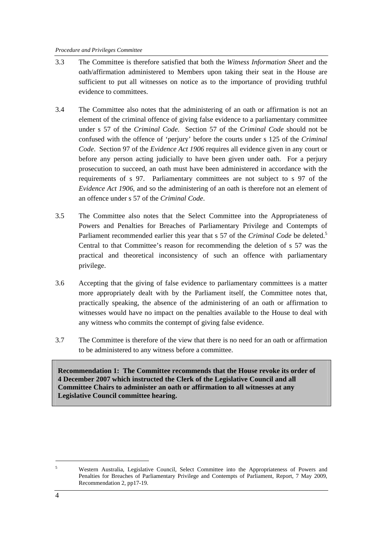- 3.3 The Committee is therefore satisfied that both the *Witness Information Sheet* and the oath/affirmation administered to Members upon taking their seat in the House are sufficient to put all witnesses on notice as to the importance of providing truthful evidence to committees.
- 3.4 The Committee also notes that the administering of an oath or affirmation is not an element of the criminal offence of giving false evidence to a parliamentary committee under s 57 of the *Criminal Code*. Section 57 of the *Criminal Code* should not be confused with the offence of 'perjury' before the courts under s 125 of the *Criminal Code*. Section 97 of the *Evidence Act 1906* requires all evidence given in any court or before any person acting judicially to have been given under oath. For a perjury prosecution to succeed, an oath must have been administered in accordance with the requirements of s 97. Parliamentary committees are not subject to s 97 of the *Evidence Act 1906*, and so the administering of an oath is therefore not an element of an offence under s 57 of the *Criminal Code*.
- 3.5 The Committee also notes that the Select Committee into the Appropriateness of Powers and Penalties for Breaches of Parliamentary Privilege and Contempts of Parliament recommended earlier this year that s 57 of the *Criminal Code* be deleted.<sup>5</sup> Central to that Committee's reason for recommending the deletion of s 57 was the practical and theoretical inconsistency of such an offence with parliamentary privilege.
- 3.6 Accepting that the giving of false evidence to parliamentary committees is a matter more appropriately dealt with by the Parliament itself, the Committee notes that, practically speaking, the absence of the administering of an oath or affirmation to witnesses would have no impact on the penalties available to the House to deal with any witness who commits the contempt of giving false evidence.
- 3.7 The Committee is therefore of the view that there is no need for an oath or affirmation to be administered to any witness before a committee.

**Recommendation 1: The Committee recommends that the House revoke its order of 4 December 2007 which instructed the Clerk of the Legislative Council and all Committee Chairs to administer an oath or affirmation to all witnesses at any Legislative Council committee hearing.** 

<sup>5</sup> Western Australia, Legislative Council, Select Committee into the Appropriateness of Powers and Penalties for Breaches of Parliamentary Privilege and Contempts of Parliament, Report, 7 May 2009, Recommendation 2, pp17-19.